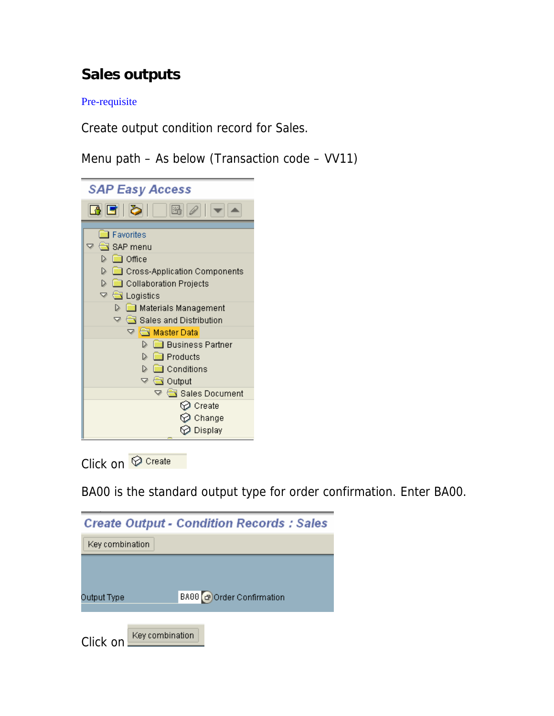# **Sales outputs**

Pre-requisite

Create output condition record for Sales.

Menu path – As below (Transaction code – VV11)



Click on *O* Create

BA00 is the standard output type for order confirmation. Enter BA00.

|                             | <b>Create Output - Condition Records : Sales</b> |
|-----------------------------|--------------------------------------------------|
| Key combination             |                                                  |
|                             |                                                  |
| Output Type                 | BA00 3 Order Confirmation                        |
| Key combination<br>Click on |                                                  |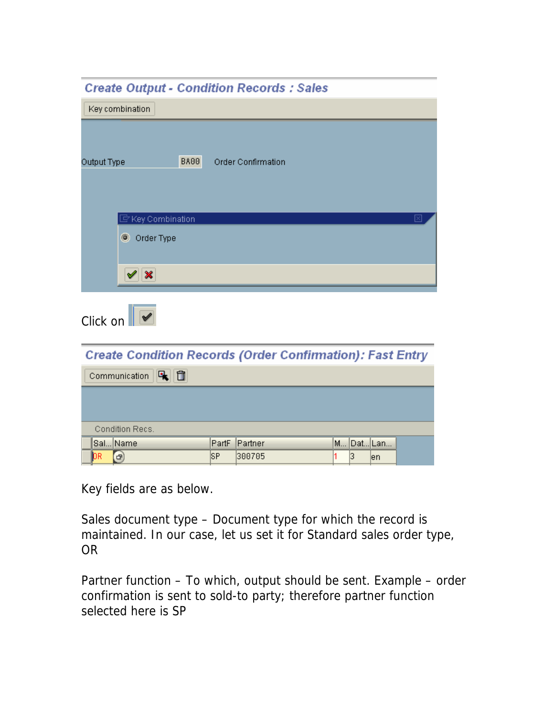| <b>Create Output - Condition Records : Sales</b>                        |             |                           |   |            |   |
|-------------------------------------------------------------------------|-------------|---------------------------|---|------------|---|
| Key combination                                                         |             |                           |   |            |   |
| Output Type                                                             | <b>BA00</b> | <b>Order Confirmation</b> |   |            |   |
| $\mathbb F$ Key Combination<br>O Order Type<br>$\mathscr{A} \mathbb{X}$ |             |                           |   |            | ⊠ |
| Click on $\ \n\ $                                                       |             |                           |   |            |   |
| <b>Create Condition Records (Order Confirmation): Fast Entry</b>        |             |                           |   |            |   |
| 喝面<br>Communication                                                     |             |                           |   |            |   |
|                                                                         |             |                           |   |            |   |
| Condition Recs.                                                         |             |                           |   |            |   |
| Sal Name                                                                | PartF       | Partner                   |   | M Dat Lan  |   |
| $\bigcap$<br>'nв                                                        | lSP.        | I300705                   | 1 | ß.<br>len. |   |

Key fields are as below.

Sales document type – Document type for which the record is maintained. In our case, let us set it for Standard sales order type, OR

Partner function – To which, output should be sent. Example – order confirmation is sent to sold-to party; therefore partner function selected here is SP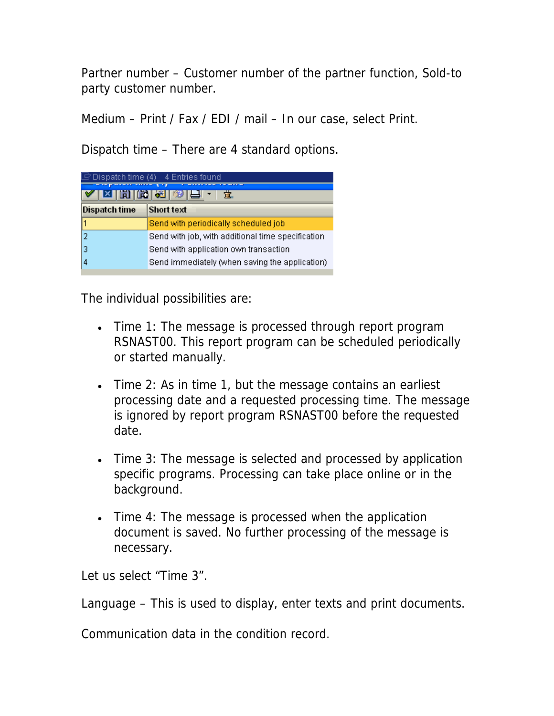Partner number – Customer number of the partner function, Sold-to party customer number.

Medium – Print / Fax / EDI / mail – In our case, select Print.

Dispatch time – There are 4 standard options.

| Dispatch time (4) 4 Entries found<br>$\begin{array}{c} \text{M1} \\ \text{M2} \end{array}$ |                                                   |  |  |  |  |  |  |  |
|--------------------------------------------------------------------------------------------|---------------------------------------------------|--|--|--|--|--|--|--|
| <b>Short text</b><br><b>Dispatch time</b>                                                  |                                                   |  |  |  |  |  |  |  |
|                                                                                            | Send with periodically scheduled job              |  |  |  |  |  |  |  |
| 2                                                                                          | Send with job, with additional time specification |  |  |  |  |  |  |  |
| 3<br>Send with application own transaction                                                 |                                                   |  |  |  |  |  |  |  |
|                                                                                            | Send immediately (when saving the application)    |  |  |  |  |  |  |  |

The individual possibilities are:

- Time 1: The message is processed through report program RSNAST00. This report program can be scheduled periodically or started manually.
- Time 2: As in time 1, but the message contains an earliest processing date and a requested processing time. The message is ignored by report program RSNAST00 before the requested date.
- Time 3: The message is selected and processed by application specific programs. Processing can take place online or in the background.
- Time 4: The message is processed when the application document is saved. No further processing of the message is necessary.

Let us select "Time 3".

Language – This is used to display, enter texts and print documents.

Communication data in the condition record.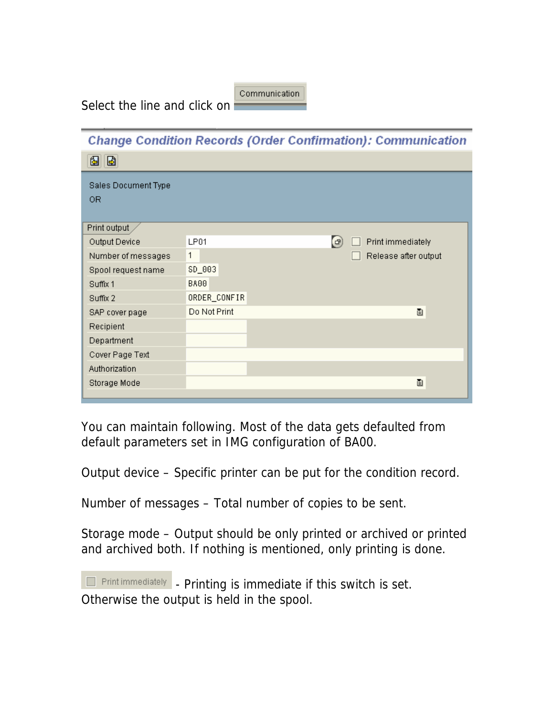Communication

Select the line and click on

|                     | <b>Change Condition Records (Order Confirmation): Communication</b> |  |
|---------------------|---------------------------------------------------------------------|--|
| Ia.<br>▧            |                                                                     |  |
| Sales Document Type |                                                                     |  |
| 0R                  |                                                                     |  |
| Print output        |                                                                     |  |
| Output Device       | $\left( \mathbf{F}\right)$<br>LPO1<br>Print immediately             |  |
| Number of messages  | 1<br>Release after output                                           |  |
| Spool request name  | SD_003                                                              |  |
| Suffix 1            | BA00                                                                |  |
| Suffix 2            | ORDER_CONFIR                                                        |  |
| SAP cover page      | Do Not Print<br>ū                                                   |  |
| Recipient           |                                                                     |  |
| Department          |                                                                     |  |
| Cover Page Text     |                                                                     |  |
| Authorization       |                                                                     |  |
| Storage Mode        | ū                                                                   |  |
|                     |                                                                     |  |

You can maintain following. Most of the data gets defaulted from default parameters set in IMG configuration of BA00.

Output device – Specific printer can be put for the condition record.

Number of messages – Total number of copies to be sent.

Storage mode – Output should be only printed or archived or printed and archived both. If nothing is mentioned, only printing is done.

**Find immediately** - Printing is immediate if this switch is set. Otherwise the output is held in the spool.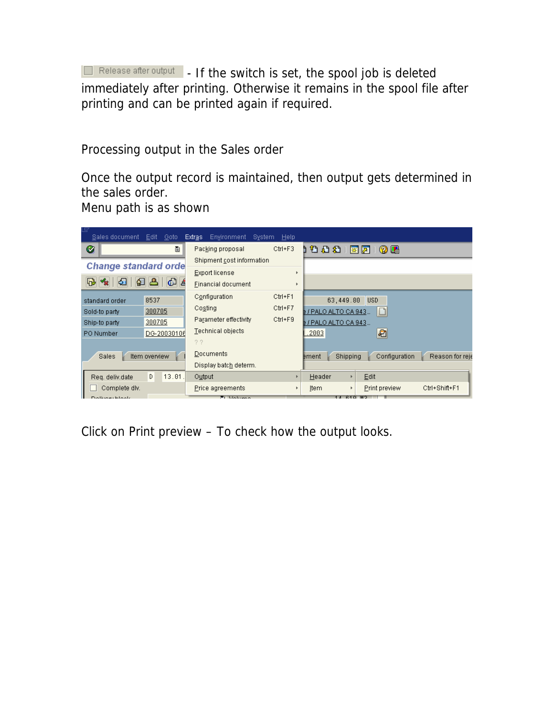**Expressed after output** - If the switch is set, the spool job is deleted immediately after printing. Otherwise it remains in the spool file after printing and can be printed again if required.

Processing output in the Sales order

Once the output record is maintained, then output gets determined in the sales order. Menu path is as shown

Sales document Edit Goto Extras Environment System Help Ctrl+F3 110 0 0 公 1 图 2 1 图 2 图 Ø T Packing proposal Shipment cost information **Change standard orde** Export license  $\bar{\nu}$ **B \* E E E** Einancial document  $\bar{\mathbf{r}}$ Configuration  $Ctrl + F1$ 8537 63,449.80 USD standard order Costing Ctrl+F7 Sold-to party 300705  $IPALO ALTO CA 943$ . Parameter effectivity Ctrl+F9 300705 B / PALO ALTO CA 943... Ship-to party Technical objects  $.2003$ PO Number DG-20030106 四  $2.2$ Documents Sales tem overview ement Shipping Configuration Reason for reje Display batch determ.  $D = 13.01$ . Output Header  $E$ dit Req. deliv.date  $\bar{\mathbf{r}}$  $\Box$  Complete div.  $\mathbb{F}$ <u>I</u>tem Print preview Ctrl+Shift+F1 Price agreements  $\left| \cdot \right|$  $\mathbf{r}$  . The form

Click on Print preview – To check how the output looks.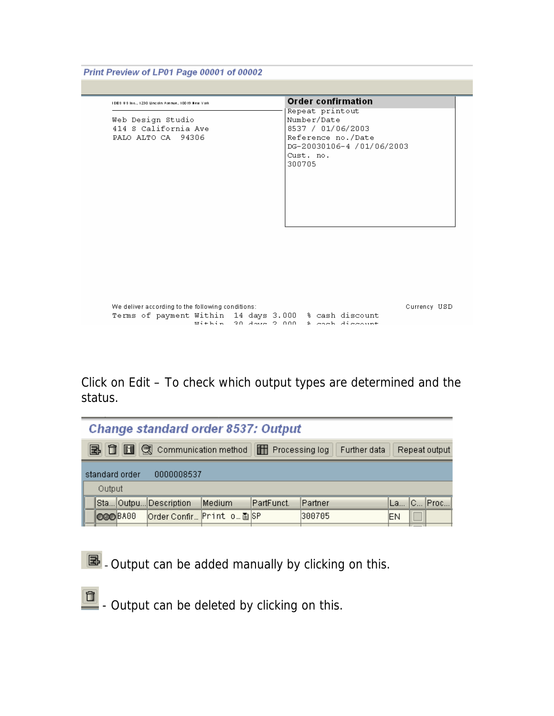Print Preview of LP01 Page 00001 of 00002

| TDES US Inc., 1230 Uncoln Avenue, 10019 New York                | <b>Order confirmation</b>                                                                                                     |
|-----------------------------------------------------------------|-------------------------------------------------------------------------------------------------------------------------------|
| Web Design Studio<br>414 S California Ave<br>PALO ALTO CA 94306 | Repeat printout<br>Number/Date<br>8537 / 01/06/2003<br>Reference no./Date<br>DG-20030106-4 /01/06/2003<br>Cust. no.<br>300705 |
|                                                                 |                                                                                                                               |

| We deliver according to the following conditions: |  |  |  |  |  |  |  | Currency USD |                                                       |  |  |
|---------------------------------------------------|--|--|--|--|--|--|--|--------------|-------------------------------------------------------|--|--|
|                                                   |  |  |  |  |  |  |  |              | Terms of payment Within 14 days 3.000 % cash discount |  |  |
|                                                   |  |  |  |  |  |  |  |              | within 20 down 2,000 & coch diccount                  |  |  |

Click on Edit – To check which output types are determined and the status.

|                                                               | <b>Change standard order 8537: Output</b>                                                        |        |                |            |  |  |  |  |  |  |  |  |
|---------------------------------------------------------------|--------------------------------------------------------------------------------------------------|--------|----------------|------------|--|--|--|--|--|--|--|--|
|                                                               | <b>BI B C</b> Communication method<br><b>THE Processing log</b><br>Further data<br>Repeat output |        |                |            |  |  |  |  |  |  |  |  |
|                                                               |                                                                                                  |        | standard order | 0000008537 |  |  |  |  |  |  |  |  |
|                                                               |                                                                                                  | Output |                |            |  |  |  |  |  |  |  |  |
|                                                               | La  C  Proc <br>PartFunct.<br>Partner<br>Sta Outpu Description<br>Medium                         |        |                |            |  |  |  |  |  |  |  |  |
| Order Confir Print o 图 SP<br>300705<br><b>OGO</b> BA00<br>lΕN |                                                                                                  |        |                |            |  |  |  |  |  |  |  |  |



 $\boxed{E}$  - Output can be added manually by clicking on this.

**D** - Output can be deleted by clicking on this.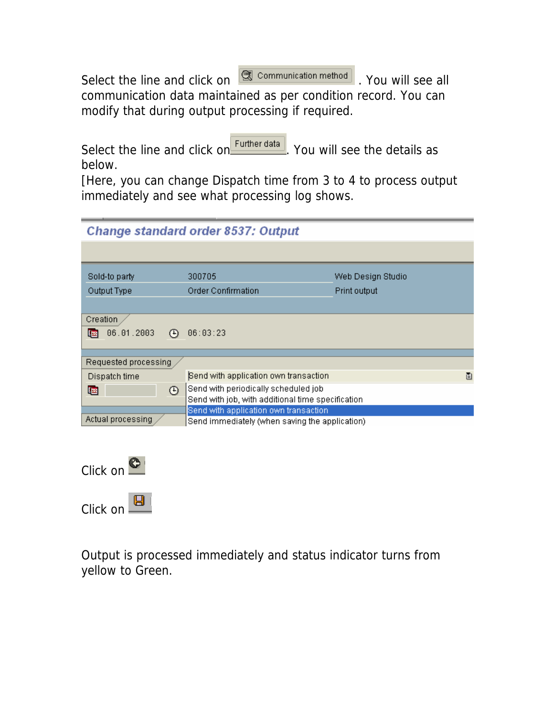Select the line and click on  $\boxed{\textcircled{3}$  communication method . You will see all communication data maintained as per condition record. You can modify that during output processing if required.

Select the line and click on **Further data**. You will see the details as below.

[Here, you can change Dispatch time from 3 to 4 to process output immediately and see what processing log shows.

# Change standard order 8537: Output

| Sold-to party               | 300705                                            | Web Design Studio |
|-----------------------------|---------------------------------------------------|-------------------|
| Output Type                 | Order Confirmation                                | Print output      |
|                             |                                                   |                   |
| Creation                    |                                                   |                   |
| 06.01.2003<br>四<br>$^{(+)}$ | 06:03:23                                          |                   |
|                             |                                                   |                   |
| Requested processing        |                                                   |                   |
| Dispatch time               | Send with application own transaction             | 圁                 |
| $\odot$<br>啯                | Send with periodically scheduled job              |                   |
|                             | Send with job, with additional time specification |                   |
|                             | Send with application own transaction             |                   |
| Actual processing           | Send immediately (when saving the application)    |                   |
|                             |                                                   |                   |



Output is processed immediately and status indicator turns from yellow to Green.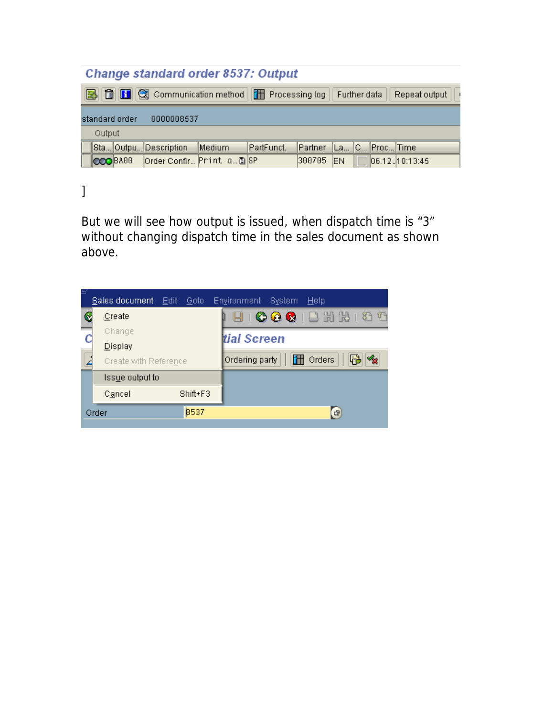## Change standard order 8537: Output

| B f H G Communication method   H Processing log   Further data  <br>Repeat output $   \cdot$ |  |                             |        |             |                                |            |  |  |                         |  |
|----------------------------------------------------------------------------------------------|--|-----------------------------|--------|-------------|--------------------------------|------------|--|--|-------------------------|--|
| standard order<br>0000008537                                                                 |  |                             |        |             |                                |            |  |  |                         |  |
| Output                                                                                       |  |                             |        |             |                                |            |  |  |                         |  |
|                                                                                              |  | Sta Outpu Description       | Medium | IPartFunct. | Partner   La   C   Proc   Time |            |  |  |                         |  |
| <b>OOO</b> BA00                                                                              |  | order Confir… Print o… 画 SP |        |             | 300705                         | <b>IEN</b> |  |  | $\vert$ 06.12. 10:13:45 |  |

]

But we will see how output is issued, when dispatch time is "3" without changing dispatch time in the sales document as shown above.

|   | Sales document        | – <u>E</u> diti<br>Goto | <b>Environment</b><br>System<br>Help |
|---|-----------------------|-------------------------|--------------------------------------|
| Q | Create                |                         | HICOCIBHBIOD                         |
|   | Change                |                         | <b>i</b> tial Screen                 |
|   | Display               |                         |                                      |
|   | Create with Reference |                         | Orders<br>F.<br>Ordering party       |
|   | Issue output to       |                         |                                      |
|   | Cancel                | $Shift+F3$              |                                      |
|   | Order                 | 8537                    | G)                                   |
|   |                       |                         |                                      |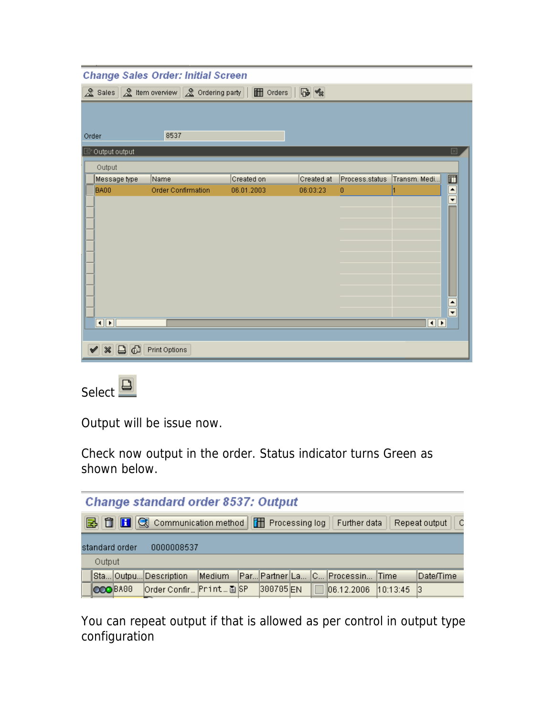| <b>Change Sales Order: Initial Screen</b>               |                           |            |            |                |                |                          |  |  |  |  |
|---------------------------------------------------------|---------------------------|------------|------------|----------------|----------------|--------------------------|--|--|--|--|
| & Sales & Item overview & Ordering party   1 Orders   6 |                           |            |            |                |                |                          |  |  |  |  |
|                                                         |                           |            |            |                |                |                          |  |  |  |  |
|                                                         |                           |            |            |                |                |                          |  |  |  |  |
| 8537<br>Order                                           |                           |            |            |                |                |                          |  |  |  |  |
| $\boxdot$ Output output                                 |                           |            |            |                |                | 冈                        |  |  |  |  |
| Output                                                  |                           |            |            |                |                |                          |  |  |  |  |
| Message type                                            | Name                      | Created on | Created at | Process.status | Transm. Medi   | 回                        |  |  |  |  |
| BA00                                                    | <b>Order Confirmation</b> | 06.01.2003 | 06:03:23   | 0              |                | $\triangle$              |  |  |  |  |
|                                                         |                           |            |            |                |                | $\overline{\phantom{0}}$ |  |  |  |  |
|                                                         |                           |            |            |                |                |                          |  |  |  |  |
|                                                         |                           |            |            |                |                |                          |  |  |  |  |
|                                                         |                           |            |            |                |                |                          |  |  |  |  |
|                                                         |                           |            |            |                |                |                          |  |  |  |  |
|                                                         |                           |            |            |                |                |                          |  |  |  |  |
|                                                         |                           |            |            |                |                |                          |  |  |  |  |
|                                                         |                           |            |            |                |                |                          |  |  |  |  |
|                                                         |                           |            |            |                |                |                          |  |  |  |  |
| $\frac{1}{\sqrt{2}}$                                    |                           |            |            |                |                |                          |  |  |  |  |
| $\overline{\blacksquare\blacksquare\blacksquare}$       |                           |            |            |                | $\blacksquare$ |                          |  |  |  |  |
|                                                         |                           |            |            |                |                |                          |  |  |  |  |
| $\Box$<br>$\boldsymbol{\mathcal{R}}$                    | Print Options             |            |            |                |                |                          |  |  |  |  |



Output will be issue now.

Check now output in the order. Status indicator turns Green as shown below.

|                                                                                                | <b>Change standard order 8537: Output</b>                                       |                 |                           |  |  |          |  |  |                     |  |      |
|------------------------------------------------------------------------------------------------|---------------------------------------------------------------------------------|-----------------|---------------------------|--|--|----------|--|--|---------------------|--|------|
| B 0 B Q Communication method T Processing log<br>$\mathsf{C}$<br>Repeat output<br>Further data |                                                                                 |                 |                           |  |  |          |  |  |                     |  |      |
|                                                                                                |                                                                                 | standard order  | 0000008537                |  |  |          |  |  |                     |  |      |
|                                                                                                | Output                                                                          |                 |                           |  |  |          |  |  |                     |  |      |
|                                                                                                | Par Partner La C Processin Time<br>Sta Outpu Description<br>Medium<br>Date/Time |                 |                           |  |  |          |  |  |                     |  |      |
|                                                                                                |                                                                                 | <b>COO</b> BAGG | Order Confir… Print… 画 SP |  |  | 300705EN |  |  | 06.12.2006 10:13:45 |  | - 13 |

You can repeat output if that is allowed as per control in output type configuration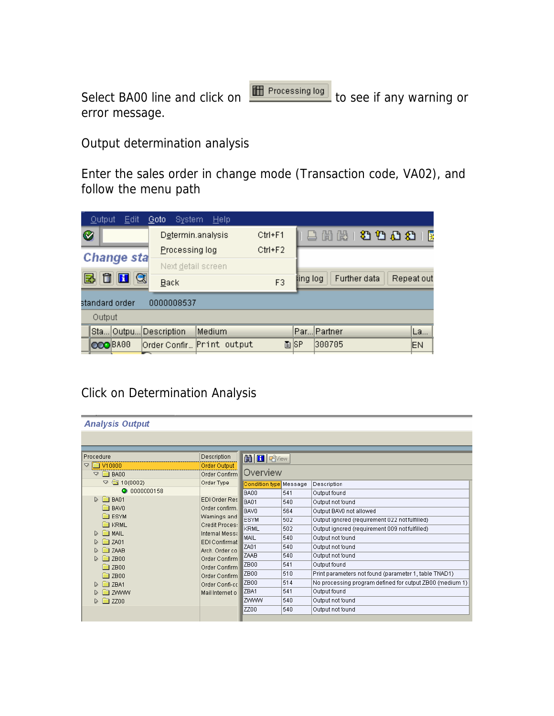Select BA00 line and click on **TH** Processing log to see if any warning or error message.

Output determination analysis

Enter the sales order in change mode (Transaction code, VA02), and follow the menu path

| <b>Output</b><br>Edit | <b>System</b><br>Goto | <b>Help</b>               |                                         |      |             |    |  |  |  |  |  |
|-----------------------|-----------------------|---------------------------|-----------------------------------------|------|-------------|----|--|--|--|--|--|
| ⊗                     |                       | Determin.analysis         |                                         |      | 84200001    |    |  |  |  |  |  |
| <b>Change sta</b>     |                       | Processing log            |                                         |      |             |    |  |  |  |  |  |
|                       | Next detail screen    |                           |                                         |      |             |    |  |  |  |  |  |
| q<br>郾<br>H           | <u>B</u> ack          | F3                        | Further data<br>Repeat out<br>ling log. |      |             |    |  |  |  |  |  |
| standard order        | 0000008537            |                           |                                         |      |             |    |  |  |  |  |  |
| Output                |                       |                           |                                         |      |             |    |  |  |  |  |  |
| Sta<br>Outpu.         | Description           | Medium                    |                                         |      | Par Partner | La |  |  |  |  |  |
| OOO BAGG              |                       | Order Confir Print output |                                         | 圖ISP | 300705      | EN |  |  |  |  |  |

### Click on Determination Analysis

| <b>Analysis Output</b>               |                                  |                        |     |                                                          |
|--------------------------------------|----------------------------------|------------------------|-----|----------------------------------------------------------|
|                                      |                                  |                        |     |                                                          |
|                                      |                                  |                        |     |                                                          |
| Procedure                            | Description                      | <b>問日</b> Priview      |     |                                                          |
| <b>EX V10000</b><br>A                | Order Output                     |                        |     |                                                          |
| $\triangledown$ $\blacksquare$ BA00  | Order Confirm                    | Overview               |     |                                                          |
| $\triangledown$ $\bigcirc$ 10(0002)  | Order Type                       | Condition type Message |     | Description                                              |
| <b>@</b> 0000000158                  |                                  | <b>BA00</b>            | 541 | Output found                                             |
| $\triangleright$ $\blacksquare$ BA01 | EDI Order Res                    | <b>BA01</b>            | 540 | Output not found                                         |
| $\Box$ BAVO                          | Order confirm.                   | BAV0                   | 564 | Output BAV0 not allowed                                  |
| <b>ESYM</b>                          | Warnings and                     | ESYM                   | 502 | Output ignored (requirement 022 not fulfilled)           |
| <b>EXAMPLE</b>                       | Credit Proces:                   | KRML                   | 502 | Output ignored (requirement 009 not fulfilled)           |
| <b>MAIL</b>                          | Internal Messa                   | MAIL                   | 540 | Output not found                                         |
| <b>Exit ZA01</b><br><b>EXAMPLE</b>   | EDI Confirmat<br>Arch, Order co. | ZA01                   | 540 | Output not found                                         |
| $\approx$ ZB00                       | Order Confirm                    | ZAAB                   | 540 | Output not found                                         |
| <b>a</b> ZB00                        | Order Confirm                    | ZB00                   | 541 | Output found                                             |
| $\blacksquare$ ZB00                  | Order Confirm                    | ZB00                   | 510 | Print parameters not found (parameter 1, table TNAD1)    |
| $\Box$ ZBA1                          | Order Confi-coll                 | ZB00                   | 514 | No processing program defined for output ZB00 (medium 1) |
| <b>ZWWW</b>                          | Mail Internet o                  | ZBA1                   | 541 | Output found                                             |
| $\approx$ ZZ00                       |                                  | ZWWW                   | 540 | Output not found                                         |
|                                      |                                  | ZZ00                   | 540 | Output not found                                         |
|                                      |                                  |                        |     |                                                          |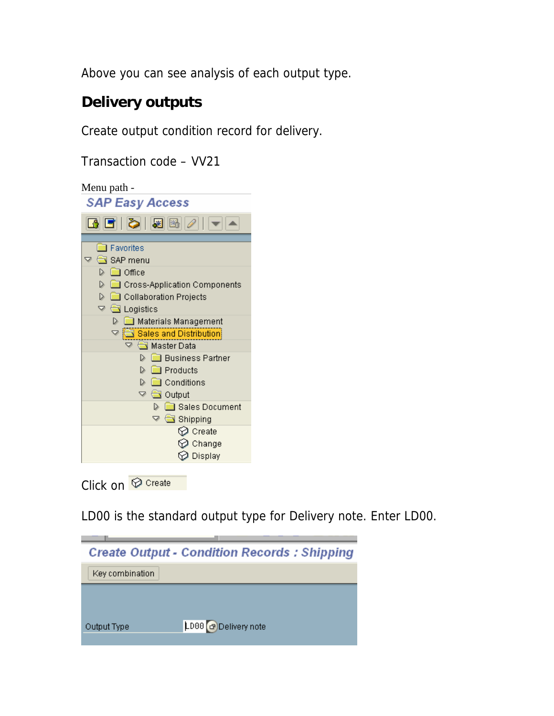Above you can see analysis of each output type.

## **Delivery outputs**

Create output condition record for delivery.

Transaction code – VV21



Click on *O* Create

LD00 is the standard output type for Delivery note. Enter LD00.

|                 | <b>Create Output - Condition Records: Shipping</b> |
|-----------------|----------------------------------------------------|
| Key combination |                                                    |
|                 |                                                    |
|                 |                                                    |
| Output Type     | LD00 a Delivery note                               |
|                 |                                                    |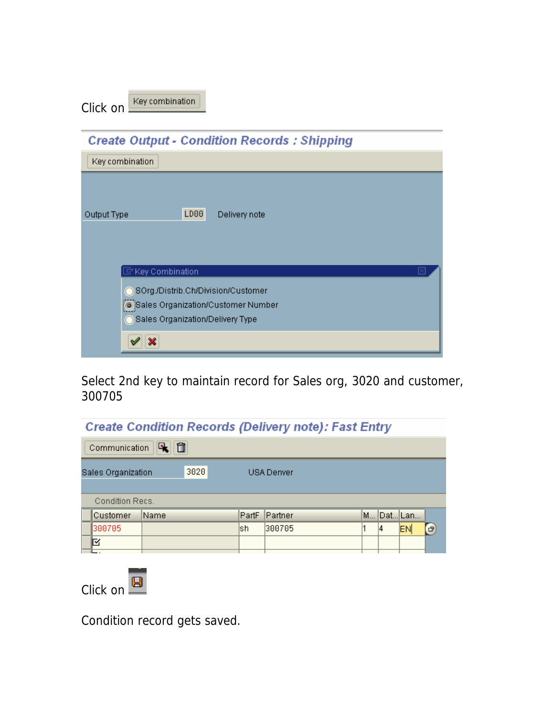| Click on | Key combination |
|----------|-----------------|
|          |                 |

| <b>Create Output - Condition Records: Shipping</b> |  |
|----------------------------------------------------|--|
| Key combination                                    |  |
|                                                    |  |
| LD00<br>Delivery note<br>Output Type               |  |
|                                                    |  |
|                                                    |  |
| $\mathbb F$ Key Combination                        |  |
| ◯ SOrg./Distrib.Ch/Division/Customer               |  |
| Sales Organization/Customer Number                 |  |
| ◯ Sales Organization/Delivery Type                 |  |
|                                                    |  |
|                                                    |  |

Select 2nd key to maintain record for Sales org, 3020 and customer, 300705

## **Create Condition Records (Delivery note): Fast Entry**

|                    | 面<br>u.<br>Communication |      |            |  |       |         |  |  |  |           |   |  |
|--------------------|--------------------------|------|------------|--|-------|---------|--|--|--|-----------|---|--|
| Sales Organization |                          | 3020 | USA Denver |  |       |         |  |  |  |           |   |  |
|                    |                          |      |            |  |       |         |  |  |  |           |   |  |
|                    | Condition Recs.          |      |            |  |       |         |  |  |  |           |   |  |
|                    | Customer                 | Name |            |  | PartF | Partner |  |  |  | M Dat Lan |   |  |
|                    | 300705                   |      |            |  | lsh   | 300705  |  |  |  | EN        | 中 |  |
|                    |                          |      |            |  |       |         |  |  |  |           |   |  |
|                    |                          |      |            |  |       |         |  |  |  |           |   |  |



Condition record gets saved.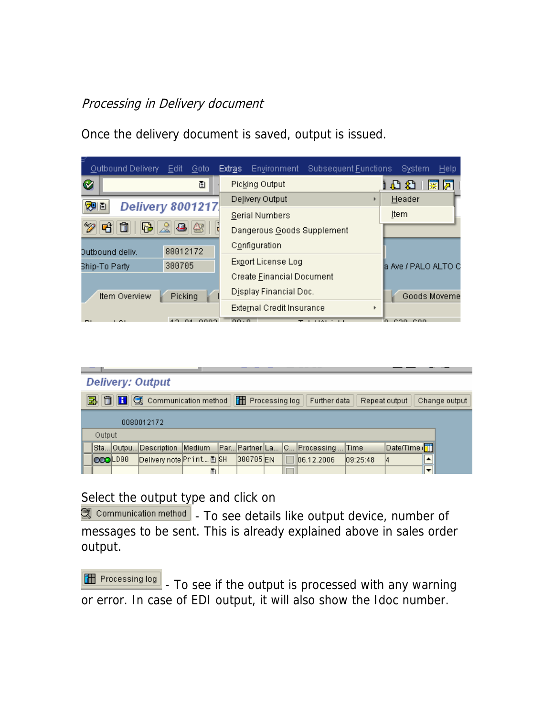### Processing in Delivery document

Outbound Delivery Edit Goto Extras Environment Subsequent Eunctions System Help ø ē. Picking Output 同盟 (公仏) Delivery Output Header k **Delivery 8001217** 观面 **Item Serial Numbers** 12 Ei Dangerous Goods Supplement Configuration 80012172 Outbound deliv. Export License Log 300705 Ship-To Party a Ave / PALO ALTO C Create Einancial Document Display Financial Doc. Item Overview Goods Moveme Picking External Credit Insurance  $\mathbf{r}$ coo coo

Once the delivery document is saved, output is issued.

|                                                                                                                     |        |                | <b>Delivery: Output</b>      |   |  |          |  |  |                                   |          |             |  |  |
|---------------------------------------------------------------------------------------------------------------------|--------|----------------|------------------------------|---|--|----------|--|--|-----------------------------------|----------|-------------|--|--|
| <b>昆 自 日</b><br>Communication method<br><b>THE Processing log</b><br>Further data<br>Repeat output<br>Change output |        |                |                              |   |  |          |  |  |                                   |          |             |  |  |
| 0080012172                                                                                                          |        |                |                              |   |  |          |  |  |                                   |          |             |  |  |
|                                                                                                                     | Output |                |                              |   |  |          |  |  |                                   |          |             |  |  |
|                                                                                                                     |        |                | Sta Outpu Description Medium |   |  |          |  |  | Par Partner La C Processing  Time |          | Date/Time ( |  |  |
|                                                                                                                     |        | <b>OOOLD88</b> | Delivery note Print 图 SH     |   |  | 300705EN |  |  | 06.12.2006                        | 09:25:48 | 4           |  |  |
|                                                                                                                     |        |                |                              | 画 |  |          |  |  |                                   |          |             |  |  |

Select the output type and click on

 $\mathbb{\mathbb{R}}$  communication method  $|$  - To see details like output device, number of messages to be sent. This is already explained above in sales order output.

**THE Processing log**  - To see if the output is processed with any warning or error. In case of EDI output, it will also show the Idoc number.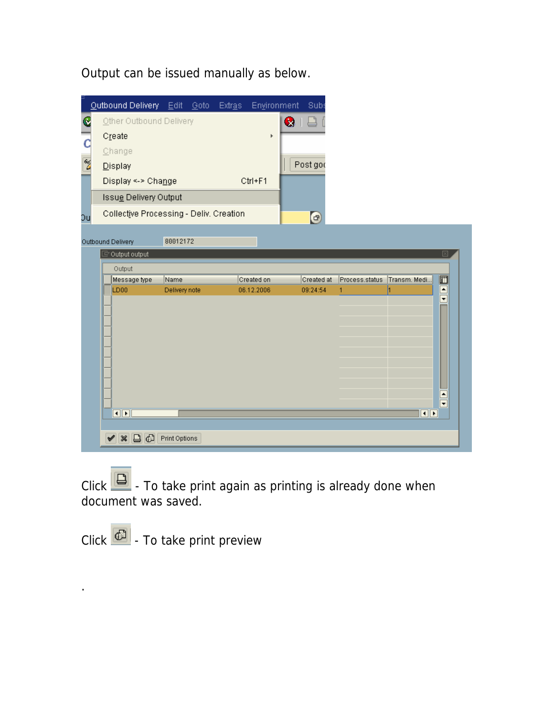Output can be issued manually as below.



Click  $\Box$  - To take print again as printing is already done when document was saved.

Click  $\left| \begin{matrix} \overline{c} \\ \overline{c} \end{matrix} \right|$  - To take print preview

.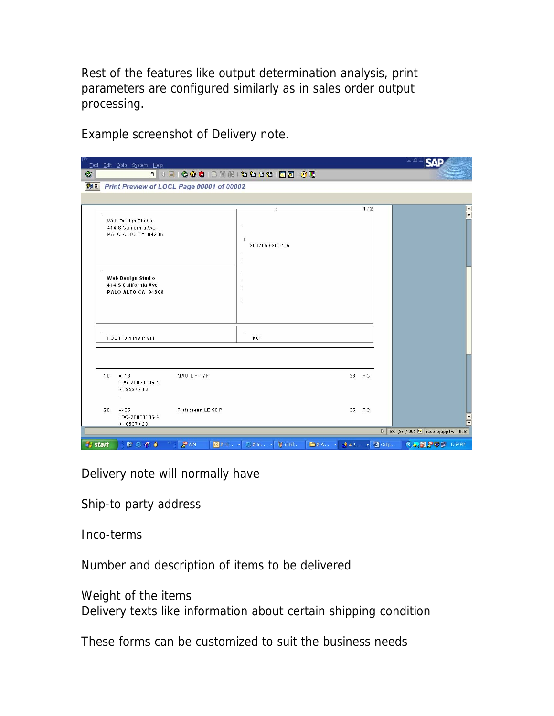Rest of the features like output determination analysis, print parameters are configured similarly as in sales order output processing.

Example screenshot of Delivery note.

| <b>.</b><br>Ø<br><b>WE Print Preview of LOCL Page 00001 of 00002</b><br>1/2<br>Web Design Studio<br>V)<br>414 S California Ave<br>PALO ALTO CA 94306<br>J.<br>300705 / 300705<br>ċ,<br>÷<br>÷,<br><b>Web Design Studio</b><br><b>414 S California Ave</b><br>t<br>PALO ALTO CA 94306<br>÷<br>$\mathcal{D}$<br>FOB From the Plant<br>KG<br>10<br>$M - 13$<br>38 PC<br>MAG DX 17F<br>$:$ DG-20030106-4<br>1:8537110<br>祭<br>Flatscreen LE 50 P<br>35 PC<br>20<br>M-05<br>$\frac{1}{1}$<br>: DG-20030106-4<br>1:8537/20<br>$\triangleright$ ISC (2) (100) $\blacksquare$ iscprojapp1w INS | Text Edit Goto System Help | 日国区<br>IςV |
|----------------------------------------------------------------------------------------------------------------------------------------------------------------------------------------------------------------------------------------------------------------------------------------------------------------------------------------------------------------------------------------------------------------------------------------------------------------------------------------------------------------------------------------------------------------------------------------|----------------------------|------------|
| $rac{1}{\sqrt{2}}$                                                                                                                                                                                                                                                                                                                                                                                                                                                                                                                                                                     |                            |            |
|                                                                                                                                                                                                                                                                                                                                                                                                                                                                                                                                                                                        |                            |            |
|                                                                                                                                                                                                                                                                                                                                                                                                                                                                                                                                                                                        |                            |            |
|                                                                                                                                                                                                                                                                                                                                                                                                                                                                                                                                                                                        |                            |            |
|                                                                                                                                                                                                                                                                                                                                                                                                                                                                                                                                                                                        |                            |            |
|                                                                                                                                                                                                                                                                                                                                                                                                                                                                                                                                                                                        |                            |            |
|                                                                                                                                                                                                                                                                                                                                                                                                                                                                                                                                                                                        |                            |            |
|                                                                                                                                                                                                                                                                                                                                                                                                                                                                                                                                                                                        |                            |            |
| $\mathcal{D}_{\mathbb{Z}_2}$<br>AIM<br>◎ 2 Mi → ○ 2 In → <sup>19</sup> untitl<br>■2W → → 45 → ■ Outp<br><b>◇久田戸学</b> 1:59 PM<br>$B \in C$ $A$<br><b><i>istant</i></b>                                                                                                                                                                                                                                                                                                                                                                                                                  |                            |            |

Delivery note will normally have

Ship-to party address

Inco-terms

Number and description of items to be delivered

Weight of the items Delivery texts like information about certain shipping condition

These forms can be customized to suit the business needs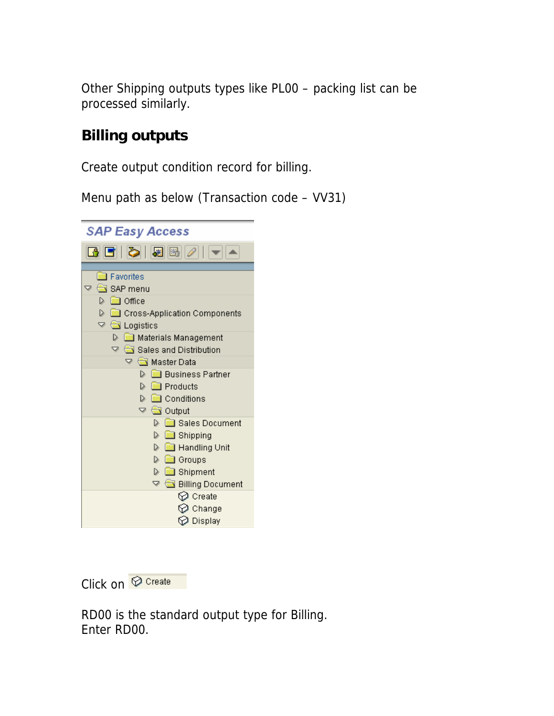Other Shipping outputs types like PL00 – packing list can be processed similarly.

## **Billing outputs**

Create output condition record for billing.

Menu path as below (Transaction code – VV31)

| SAP Easy Access                                                                                                                                                                                                                                                                                                                                                                                                                                                                                                                                                                                      |
|------------------------------------------------------------------------------------------------------------------------------------------------------------------------------------------------------------------------------------------------------------------------------------------------------------------------------------------------------------------------------------------------------------------------------------------------------------------------------------------------------------------------------------------------------------------------------------------------------|
| [4 [ 5   8   8   2   1 - 1                                                                                                                                                                                                                                                                                                                                                                                                                                                                                                                                                                           |
| <b>Exercise</b> Favorites<br>$\triangledown$ $\bigodot$ SAP menu<br>D <b>©⊒</b> Office<br>Cross-Application Components<br>$\triangledown$ $\blacksquare$ Logistics<br><b>D I</b> Materials Management<br>$\triangledown$ $\bigcirc$ Sales and Distribution<br>▽ <b>△</b> Master Data<br>▷ ▒ Business Partner<br>$\triangleright$ $\blacksquare$ Products<br>D 圖 Conditions<br>$\triangledown$ $\blacksquare$ Output<br>D <b>Co</b> Sales Document<br><b>D</b> Shipping<br><b>D B</b> Handling Unit<br>$\triangleright$ $\blacksquare$ Groups<br><b>D</b> Shipment<br>▽ <del>●</del> Billing Document |
| $\oslash$ Create<br>$\oslash$ Change<br>$\oslash$ Display                                                                                                                                                                                                                                                                                                                                                                                                                                                                                                                                            |

Click on **O** Create

RD00 is the standard output type for Billing. Enter RD00.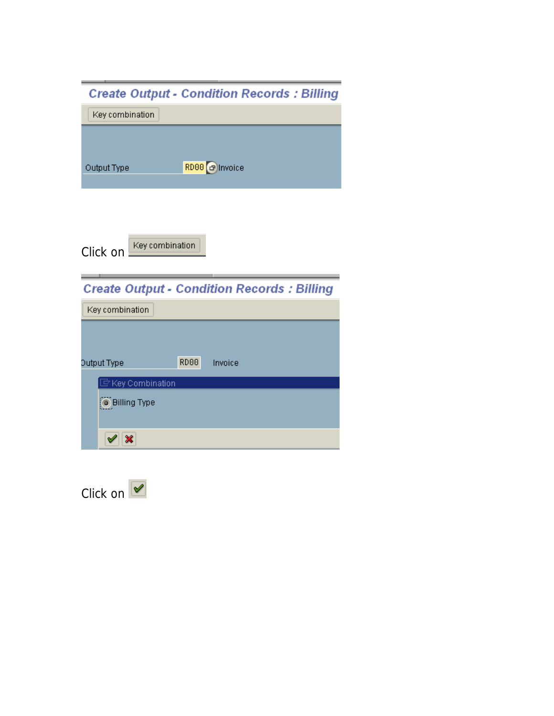| <b>Create Output - Condition Records: Billing</b> |
|---------------------------------------------------|
| Key combination                                   |
|                                                   |
| RD00 <sup>[</sup> c] Invoice<br>Output Type       |
|                                                   |
|                                                   |
| Key combination<br>Click on                       |
| <b>Create Output - Condition Records: Billing</b> |
| Key combination                                   |
|                                                   |
|                                                   |
| RD00<br>Output Type<br>Invoice                    |
| $\mathbb{\bar{F}}$ Key Combination                |
| <b>O</b> Billing Type                             |
|                                                   |

--

Click on  $\sqrt{$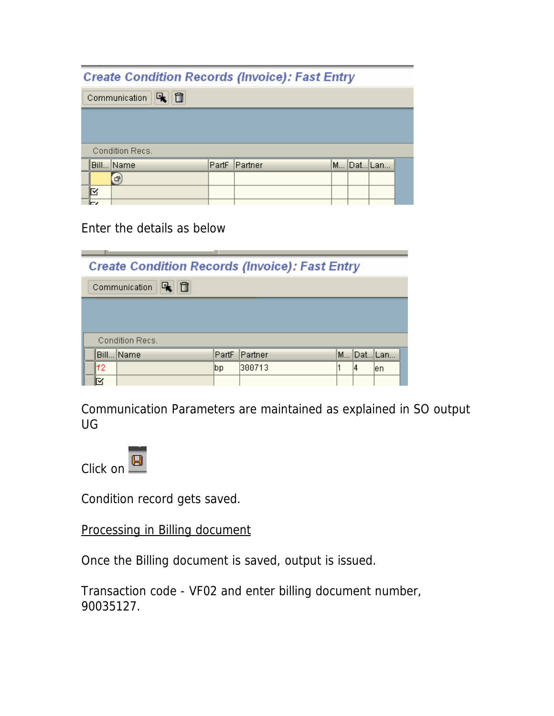### **Create Condition Records (Invoice): Fast Entry**

Communication **Q** 

|    | .               |               |  |           |  |
|----|-----------------|---------------|--|-----------|--|
|    |                 |               |  |           |  |
|    |                 |               |  |           |  |
|    |                 |               |  |           |  |
|    |                 |               |  |           |  |
|    | Condition Recs. |               |  |           |  |
|    |                 |               |  |           |  |
|    | Bill Name       | PartF Partner |  | M Dat Lan |  |
|    | $\mathbf{F}$    |               |  |           |  |
|    |                 |               |  |           |  |
| ⊠  |                 |               |  |           |  |
| ĪБ |                 |               |  |           |  |

#### Enter the details as below

| <b>Create Condition Records (Invoice): Fast Entry</b> |                 |       |         |   |    |          |  |  |  |  |
|-------------------------------------------------------|-----------------|-------|---------|---|----|----------|--|--|--|--|
| ñ<br>Communication                                    |                 |       |         |   |    |          |  |  |  |  |
|                                                       |                 |       |         |   |    |          |  |  |  |  |
|                                                       |                 |       |         |   |    |          |  |  |  |  |
|                                                       | Condition Recs. |       |         |   |    |          |  |  |  |  |
|                                                       | Bill Name       | PartF | Partner | M |    | ∣Dat∣Lan |  |  |  |  |
| lf2                                                   |                 | ∣bp   | 300713  |   | 14 | len      |  |  |  |  |
| ⊠                                                     |                 |       |         |   |    |          |  |  |  |  |

Communication Parameters are maintained as explained in SO output UG

Click on **B** 

Condition record gets saved.

Processing in Billing document

Once the Billing document is saved, output is issued.

Transaction code - VF02 and enter billing document number, 90035127.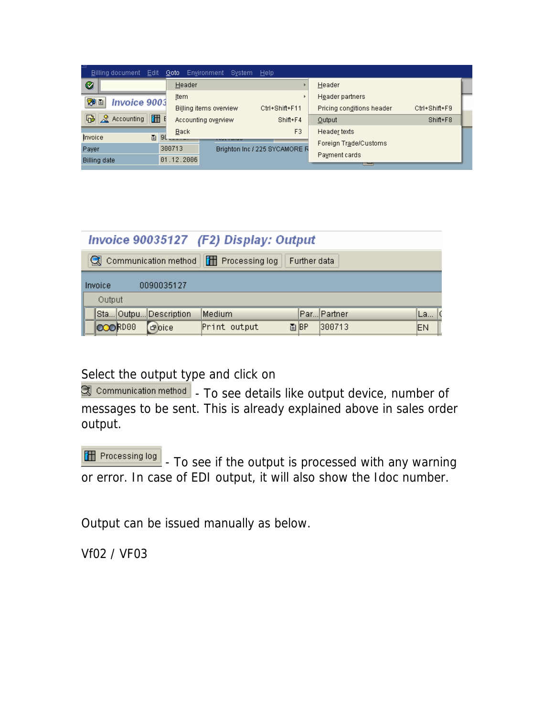| ≒                   | Billing document Edit              |   |        |            | Goto Environment       | System Help |                               |                           |               |  |
|---------------------|------------------------------------|---|--------|------------|------------------------|-------------|-------------------------------|---------------------------|---------------|--|
| Ø                   |                                    |   |        | Header     |                        |             |                               | Header                    |               |  |
| ゆロ                  | <b>Invoice 9003</b>                |   |        | Item       |                        |             |                               | Header partners           |               |  |
|                     |                                    |   |        |            | Billing items overview |             | Ctrl+Shift+F11                | Pricing conditions header | Ctrl+Shift+F9 |  |
|                     | $\frac{1}{2}$ $\approx$ Accounting | 囧 | E      |            | Accounting overview    |             | Shift+F4                      | Output                    | Shift+F8      |  |
|                     |                                    |   | l 90   | Back       |                        |             | F3                            | Header texts              |               |  |
| Invoice             |                                    | 圁 |        |            |                        |             |                               | Foreign Trade/Customs     |               |  |
| Payer               |                                    |   | 300713 |            |                        |             | Brighton Inc / 225 SYCAMORE R | Payment cards             |               |  |
| <b>Billing date</b> |                                    |   |        | 01.12.2006 |                        |             |                               |                           |               |  |

|                                                         |  |                       | Invoice 90035127 (F2) Display: Output |  |      |              |    |
|---------------------------------------------------------|--|-----------------------|---------------------------------------|--|------|--------------|----|
| Communication method   T Processing log<br>Further data |  |                       |                                       |  |      |              |    |
| <b>Invoice</b>                                          |  | 0090035127            |                                       |  |      |              |    |
| Output                                                  |  |                       |                                       |  |      |              |    |
|                                                         |  | Sta Outpu Description | Medium                                |  |      | Par… Partner | La |
| <b>OCORDOO</b>                                          |  | <b>Poice</b>          | Print output                          |  | 圖IBP | 300713       | EN |

Select the output type and click on

 $\Box$  communication method  $\vert$  - To see details like output device, number of messages to be sent. This is already explained above in sales order output.

**TH** Processing log - To see if the output is processed with any warning or error. In case of EDI output, it will also show the Idoc number.

Output can be issued manually as below.

Vf02 / VF03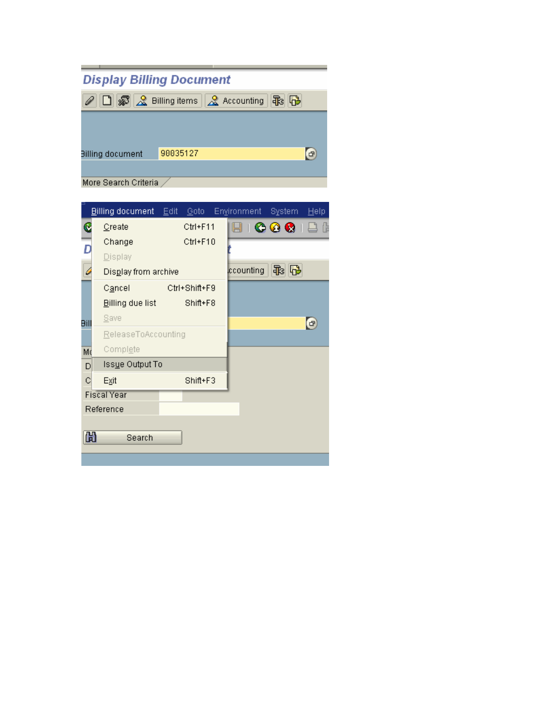| <b>Display Billing Document</b> |                                          |
|---------------------------------|------------------------------------------|
|                                 | ○□图 & Billing items   & Accounting   B B |
|                                 |                                          |
|                                 |                                          |
| <b>Billing document</b>         | 90035127<br>日                            |
|                                 |                                          |
| More Search Criteria            |                                          |

|          | Billing document     | Edit | Goto          | Environment System |      | Help  |
|----------|----------------------|------|---------------|--------------------|------|-------|
| C        | Create               |      | Ctrl+F11      | 86681              |      | - Ali |
| <u>Б</u> | Change               |      | Ctrl+F10      |                    |      |       |
|          | Display              |      |               |                    |      |       |
| 4        | Display from archive |      |               | ccounting          | 48 日 |       |
|          | Cancel               |      | Ctrl+Shift+F9 |                    |      |       |
|          | Billing due list     |      | Shift+F8      |                    |      |       |
| Bill     | <b>Save</b>          |      |               |                    |      | 6     |
|          | ReleaseToAccounting  |      |               |                    |      |       |
| Md       | Complete             |      |               |                    |      |       |
| D        | Issue Output To      |      |               |                    |      |       |
| c        | Exit                 |      | Shift+F3      |                    |      |       |
|          | <b>Fiscal Year</b>   |      |               |                    |      |       |
|          | Reference            |      |               |                    |      |       |
|          |                      |      |               |                    |      |       |
|          | 尙<br>Search          |      |               |                    |      |       |
|          |                      |      |               |                    |      |       |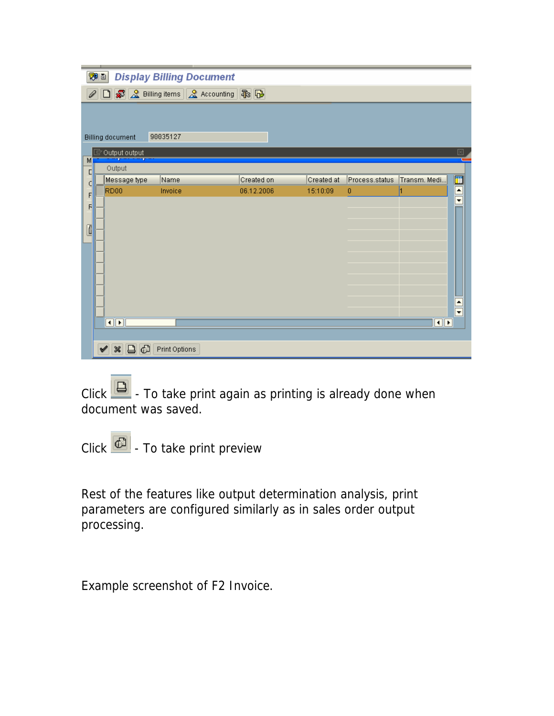|   | WD 1 |                                                                   | <b>Display Billing Document</b> |                                           |            |                |                           |                                     |
|---|------|-------------------------------------------------------------------|---------------------------------|-------------------------------------------|------------|----------------|---------------------------|-------------------------------------|
|   |      |                                                                   |                                 | A D & Billing items & Accounting <b>B</b> |            |                |                           |                                     |
|   |      |                                                                   |                                 |                                           |            |                |                           |                                     |
|   |      |                                                                   | 90035127                        |                                           |            |                |                           |                                     |
|   |      | <b>Billing document</b>                                           |                                 |                                           |            |                |                           | ⊠                                   |
| м |      | $\overline{\mathbb{F}}$ Output output                             |                                 |                                           |            |                |                           |                                     |
| D |      | Output                                                            |                                 |                                           |            |                |                           |                                     |
| С |      | Message type                                                      | Name                            | Created on                                | Created at | Process.status | Transm. Medi              |                                     |
| F |      | RD <sub>00</sub>                                                  | Invoice                         | 06.12.2006                                | 15:10:09   | 0              |                           | EN                                  |
| F |      |                                                                   |                                 |                                           |            |                |                           |                                     |
|   |      |                                                                   |                                 |                                           |            |                |                           |                                     |
| Ō |      |                                                                   |                                 |                                           |            |                |                           |                                     |
|   |      |                                                                   |                                 |                                           |            |                |                           |                                     |
|   |      |                                                                   |                                 |                                           |            |                |                           |                                     |
|   |      |                                                                   |                                 |                                           |            |                |                           |                                     |
|   |      |                                                                   |                                 |                                           |            |                |                           |                                     |
|   |      |                                                                   |                                 |                                           |            |                |                           |                                     |
|   |      |                                                                   |                                 |                                           |            |                |                           |                                     |
|   |      |                                                                   |                                 |                                           |            |                |                           | $\frac{\blacksquare}{\blacksquare}$ |
|   |      | $\overline{\blacksquare\triangleright}$ $\overline{\blacksquare}$ |                                 |                                           |            |                | $\overline{\blacksquare}$ |                                     |
|   |      |                                                                   |                                 |                                           |            |                |                           |                                     |
|   |      | G<br>$\boldsymbol{\mathcal{R}}$<br>$\boxed{ \Box }$<br>✔          | Print Options                   |                                           |            |                |                           |                                     |

Click  $\Box$  - To take print again as printing is already done when document was saved.

Click  $\boxed{\bigoplus}$  - To take print preview

Rest of the features like output determination analysis, print parameters are configured similarly as in sales order output processing.

Example screenshot of F2 Invoice.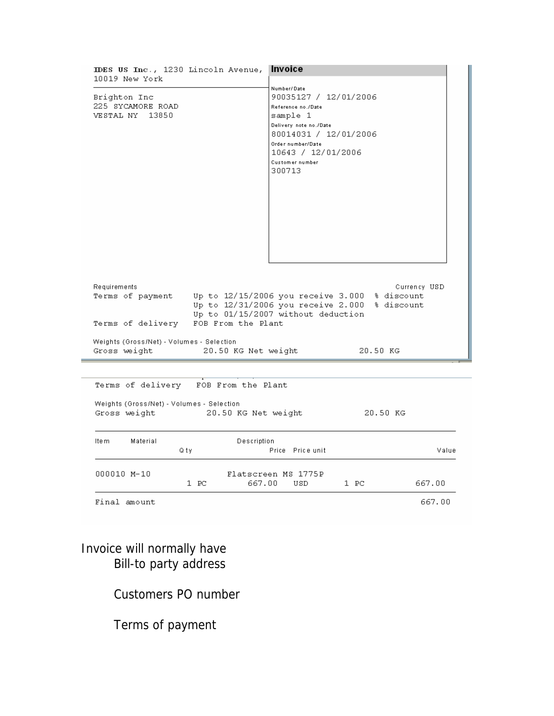| IDES US Inc., 1230 Lincoln Avenue,                                               | Invoice                                                                                                                                                                                           |
|----------------------------------------------------------------------------------|---------------------------------------------------------------------------------------------------------------------------------------------------------------------------------------------------|
| 10019 New York<br>Brighton Inc<br>225 SYCAMORE ROAD<br>VESTAL NY<br>13850        | Number/Date<br>90035127 / 12/01/2006<br>Reference no./Date<br>sample 1<br>Delivery note no./Date<br>80014031 / 12/01/2006<br>Order number/Date<br>10643 / 12/01/2006<br>Customer number<br>300713 |
| Requirements<br>Terms of payment Up to 12/15/2006 you receive 3.000 % discount   | Currency USD<br>Up to 12/31/2006 you receive 2.000 % discount                                                                                                                                     |
| FOB From the Plant<br>Terms of delivery                                          | Up to 01/15/2007 without deduction                                                                                                                                                                |
| Weights (Gross/Net) - Volumes - Selection<br>Gross weight<br>20.50 KG Net weight | 20.50 KG                                                                                                                                                                                          |
| Terms of delivery FOB From the Plant                                             |                                                                                                                                                                                                   |
| Weights (Gross/Net) - Volumes - Selection<br>Gross weight<br>20.50 KG Net weight | 20.50 KG                                                                                                                                                                                          |
| Ite m<br>Material<br>Description<br>Qty                                          | Price Price unit<br>Value                                                                                                                                                                         |
| 000010 M-10<br>$1$ PC<br>667.00                                                  | Flatscreen MS 1775P<br>$1$ PC<br>667.00<br>USD                                                                                                                                                    |
| Final amount                                                                     | 667.00                                                                                                                                                                                            |

#### Invoice will normally have Bill-to party address

### Customers PO number

Terms of payment